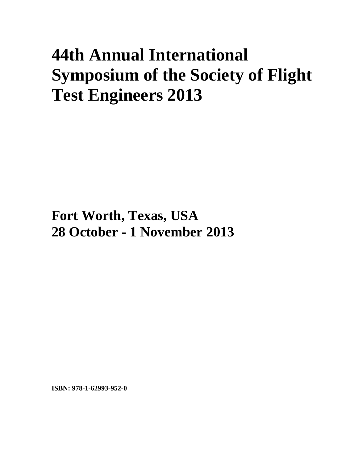## **44th Annual International Symposium of the Society of Flight Test Engineers 2013**

**Fort Worth, Texas, USA 28 October - 1 November 2013**

**ISBN: 978-1-62993-952-0**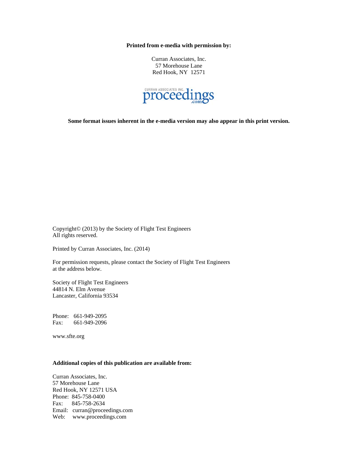**Printed from e-media with permission by:** 

Curran Associates, Inc. 57 Morehouse Lane Red Hook, NY 12571



**Some format issues inherent in the e-media version may also appear in this print version.** 

Copyright© (2013) by the Society of Flight Test Engineers All rights reserved.

Printed by Curran Associates, Inc. (2014)

For permission requests, please contact the Society of Flight Test Engineers at the address below.

Society of Flight Test Engineers 44814 N. Elm Avenue Lancaster, California 93534

Phone: 661-949-2095 Fax: 661-949-2096

www.sfte.org

## **Additional copies of this publication are available from:**

Curran Associates, Inc. 57 Morehouse Lane Red Hook, NY 12571 USA Phone: 845-758-0400 Fax: 845-758-2634 Email: curran@proceedings.com Web: www.proceedings.com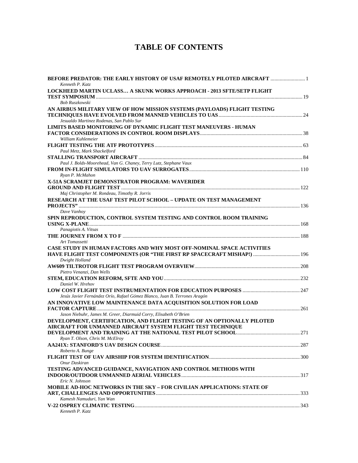## **TABLE OF CONTENTS**

| <b>BEFORE PREDATOR: THE EARLY HISTORY OF USAF REMOTELY PILOTED AIRCRAFT </b><br>Kenneth P. Katz |  |
|-------------------------------------------------------------------------------------------------|--|
| LOCKHEED MARTIN UCLASS A SKUNK WORKS APPROACH - 2013 SFTE/SETP FLIGHT                           |  |
|                                                                                                 |  |
| Bob Ruszkowski                                                                                  |  |
| AN AIRBUS MILITARY VIEW OF HOW MISSION SYSTEMS (PAYLOADS) FLIGHT TESTING                        |  |
|                                                                                                 |  |
| Jesualdo Martinez Rodenas, San Pablo Sur                                                        |  |
| LIMITS BASED MONITORING OF DYNAMIC FLIGHT TEST MANEUVERS - HUMAN                                |  |
|                                                                                                 |  |
| William Kuhlemeier                                                                              |  |
|                                                                                                 |  |
| Paul Metz, Mark Shackelford                                                                     |  |
|                                                                                                 |  |
| Paul J. Bolds-Moorehead, Van G. Chaney, Terry Lutz, Stephane Vaux                               |  |
|                                                                                                 |  |
| Ryan P. McMahon                                                                                 |  |
|                                                                                                 |  |
| X-51A SCRAMJET DEMONSTRATOR PROGRAM: WAVERIDER                                                  |  |
|                                                                                                 |  |
| Maj Christopher M. Rondeau, Timothy R. Jorris                                                   |  |
| <b>RESEARCH AT THE USAF TEST PILOT SCHOOL - UPDATE ON TEST MANAGEMENT</b>                       |  |
|                                                                                                 |  |
| Dave Vanhoy                                                                                     |  |
| SPIN REPRODUCTION, CONTROL SYSTEM TESTING AND CONTROL ROOM TRAINING                             |  |
|                                                                                                 |  |
| Panagiotis A. Vitsas                                                                            |  |
|                                                                                                 |  |
| Art Tomassetti                                                                                  |  |
| CASE STUDY IN HUMAN FACTORS AND WHY MOST OFF-NOMINAL SPACE ACTIVITIES                           |  |
| HAVE FLIGHT TEST COMPONENTS (OR "THE FIRST RP SPACECRAFT MISHAP!)  196                          |  |
| Dwight Holland                                                                                  |  |
|                                                                                                 |  |
| Pietro Venanzi, Dan Wells                                                                       |  |
|                                                                                                 |  |
| Daniel W. Hrehov                                                                                |  |
|                                                                                                 |  |
| Jesús Javier Fernández Orío, Rafael Gómez Blanco, Juan B. Terrones Aragón                       |  |
| AN INNOVATIVE LOW MAINTENANCE DATA ACQUISITION SOLUTION FOR LOAD                                |  |
|                                                                                                 |  |
| Jason Niebuhr, James M. Greer, Diarmuid Corry, Elisabeth O'Brien                                |  |
| DEVELOPMENT, CERTIFICATION, AND FLIGHT TESTING OF AN OPTIONALLY PILOTED                         |  |
| AIRCRAFT FOR UNMANNED AIRCRAFT SYSTEM FLIGHT TEST TECHNIQUE                                     |  |
|                                                                                                 |  |
| Ryan T. Olson, Chris M. McElroy                                                                 |  |
|                                                                                                 |  |
| Roberto A. Bunge                                                                                |  |
|                                                                                                 |  |
| Onur Daskiran                                                                                   |  |
| TESTING ADVANCED GUIDANCE, NAVIGATION AND CONTROL METHODS WITH                                  |  |
|                                                                                                 |  |
| Eric N. Johnson                                                                                 |  |
| MOBILE AD-HOC NETWORKS IN THE SKY – FOR CIVILIAN APPLICATIONS: STATE OF                         |  |
|                                                                                                 |  |
| Kamesh Namuduri, Yan Wan                                                                        |  |
|                                                                                                 |  |
| Kenneth P. Katz                                                                                 |  |
|                                                                                                 |  |